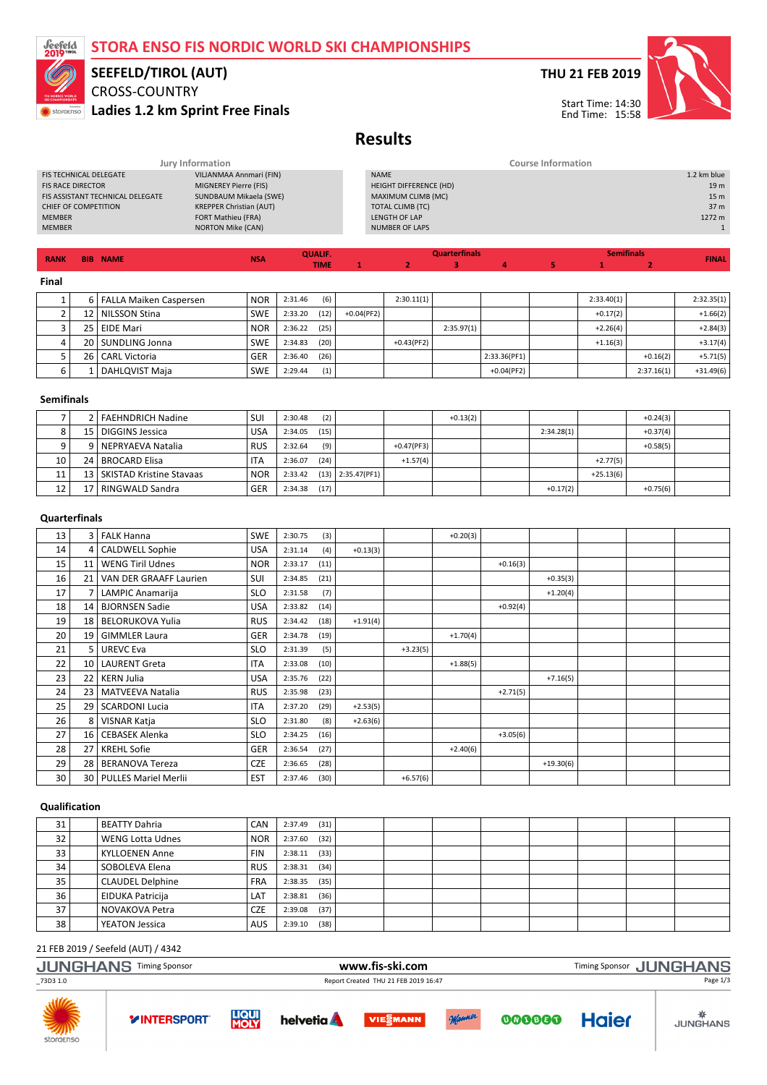# STORA ENSO FIS NORDIC WORLD SKI CHAMPIONSHIPS



## CROSS-COUNTRY Ladies 1.2 km Sprint Free Finals SEEFELD/TIROL (AUT)

## THU 21 FEB 2019



# Results

| <b>NAME</b><br><b>RANK</b><br><b>BIB</b> | <b>NSA</b>                     | <b>TIME</b>               |  |                        |                      |  |  |                   | <b>FINAL</b>    |
|------------------------------------------|--------------------------------|---------------------------|--|------------------------|----------------------|--|--|-------------------|-----------------|
|                                          |                                | <b>QUALIF.</b>            |  |                        | <b>Quarterfinals</b> |  |  | <b>Semifinals</b> |                 |
|                                          |                                |                           |  |                        |                      |  |  |                   |                 |
| <b>MEMBER</b>                            | <b>NORTON Mike (CAN)</b>       |                           |  | <b>NUMBER OF LAPS</b>  |                      |  |  |                   |                 |
| <b>MEMBER</b>                            | <b>FORT Mathieu (FRA)</b>      |                           |  | LENGTH OF LAP          |                      |  |  |                   | 1272 m          |
| CHIEF OF COMPETITION                     | <b>KREPPER Christian (AUT)</b> |                           |  | TOTAL CLIMB (TC)       |                      |  |  |                   | 37 <sub>m</sub> |
| FIS ASSISTANT TECHNICAL DELEGATE         | SUNDBAUM Mikaela (SWE)         |                           |  | MAXIMUM CLIMB (MC)     |                      |  |  |                   | 15 <sub>m</sub> |
| <b>FIS RACE DIRECTOR</b>                 | MIGNEREY Pierre (FIS)          |                           |  | HEIGHT DIFFERENCE (HD) |                      |  |  |                   | 19 <sub>m</sub> |
| <b>FIS TECHNICAL DELEGATE</b>            | VILJANMAA Annmari (FIN)        |                           |  | <b>NAME</b>            |                      |  |  |                   | 1.2 km blue     |
| Jury Information                         |                                | <b>Course Information</b> |  |                        |                      |  |  |                   |                 |

1 2 3 4 5

TIME

#### Final

|   | 6   FALLA Maiken Caspersen | <b>NOR</b> | 2:31.46 | (6)  |               | 2:30.11(1)   |            |              | 2:33.40(1) |            | 2:32.35(1)  |
|---|----------------------------|------------|---------|------|---------------|--------------|------------|--------------|------------|------------|-------------|
|   | 12   NILSSON Stina         | <b>SWE</b> | 2:33.20 | (12) | $+0.04$ (PF2) |              |            |              | $+0.17(2)$ |            | $+1.66(2)$  |
|   | 25   EIDE Mari             | <b>NOR</b> | 2:36.22 | (25) |               |              | 2:35.97(1) |              | $+2.26(4)$ |            | $+2.84(3)$  |
| 4 | 20 SUNDLING Jonna          | <b>SWE</b> | 2:34.83 | (20) |               | $+0.43(PF2)$ |            |              | $+1.16(3)$ |            | $+3.17(4)$  |
|   | 26   CARL Victoria         | <b>GER</b> | 2:36.40 | (26) |               |              |            | 2:33.36(PF1) |            | $+0.16(2)$ | $+5.71(5)$  |
| b | DAHLQVIST Maja             | <b>SWE</b> | 2:29.44 | (1)  |               |              |            | $+0.04(PF2)$ |            | 2:37.16(1) | $+31.49(6)$ |

#### Semifinals

|    | 2   FAEHNDRICH Nadine         | SUI        | 2:30.48 | (2)  |                       |              | $+0.13(2)$ |            |             | $+0.24(3)$ |  |
|----|-------------------------------|------------|---------|------|-----------------------|--------------|------------|------------|-------------|------------|--|
| 8  | 15   DIGGINS Jessica          | <b>USA</b> | 2:34.05 | (15) |                       |              |            | 2:34.28(1) |             | $+0.37(4)$ |  |
|    | 9   NEPRYAEVA Natalia         | <b>RUS</b> | 2:32.64 | (9)  |                       | $+0.47(PF3)$ |            |            |             | $+0.58(5)$ |  |
| 10 | 24   BROCARD Elisa            | <b>ITA</b> | 2:36.07 | (24) |                       | $+1.57(4)$   |            |            | $+2.77(5)$  |            |  |
| 11 | 13   SKISTAD Kristine Stavaas | <b>NOR</b> | 2:33.42 |      | $(13)$   2:35.47(PF1) |              |            |            | $+25.13(6)$ |            |  |
| 12 | RINGWALD Sandra               | <b>GER</b> | 2:34.38 | (17) |                       |              |            | $+0.17(2)$ |             | $+0.75(6)$ |  |

### **Ouarterfinals**

| 13 |                 | 3   FALK Hanna            | <b>SWE</b> | 2:30.75 | (3)  |            |            | $+0.20(3)$ |            |             |  |  |
|----|-----------------|---------------------------|------------|---------|------|------------|------------|------------|------------|-------------|--|--|
| 14 |                 | 4   CALDWELL Sophie       | <b>USA</b> | 2:31.14 | (4)  | $+0.13(3)$ |            |            |            |             |  |  |
| 15 | 11              | <b>WENG Tiril Udnes</b>   | <b>NOR</b> | 2:33.17 | (11) |            |            |            | $+0.16(3)$ |             |  |  |
| 16 | 21              | VAN DER GRAAFF Laurien    | SUI        | 2:34.85 | (21) |            |            |            |            | $+0.35(3)$  |  |  |
| 17 |                 | LAMPIC Anamarija          | <b>SLO</b> | 2:31.58 | (7)  |            |            |            |            | $+1.20(4)$  |  |  |
| 18 | 14              | <b>BJORNSEN Sadie</b>     | <b>USA</b> | 2:33.82 | (14) |            |            |            | $+0.92(4)$ |             |  |  |
| 19 | 18              | <b>BELORUKOVA Yulia</b>   | <b>RUS</b> | 2:34.42 | (18) | $+1.91(4)$ |            |            |            |             |  |  |
| 20 | 19              | <b>GIMMLER Laura</b>      | <b>GER</b> | 2:34.78 | (19) |            |            | $+1.70(4)$ |            |             |  |  |
| 21 | 5 <sub>1</sub>  | <b>UREVC Eva</b>          | <b>SLO</b> | 2:31.39 | (5)  |            | $+3.23(5)$ |            |            |             |  |  |
| 22 | 10 <sup>1</sup> | <b>LAURENT Greta</b>      | ITA        | 2:33.08 | (10) |            |            | $+1.88(5)$ |            |             |  |  |
| 23 | 22 <sup>1</sup> | KERN Julia                | <b>USA</b> | 2:35.76 | (22) |            |            |            |            | $+7.16(5)$  |  |  |
| 24 | 23              | <b>MATVEEVA Natalia</b>   | <b>RUS</b> | 2:35.98 | (23) |            |            |            | $+2.71(5)$ |             |  |  |
| 25 | 29              | <b>SCARDONI Lucia</b>     | <b>ITA</b> | 2:37.20 | (29) | $+2.53(5)$ |            |            |            |             |  |  |
| 26 | 8               | VISNAR Katja              | <b>SLO</b> | 2:31.80 | (8)  | $+2.63(6)$ |            |            |            |             |  |  |
| 27 | 16              | <b>CEBASEK Alenka</b>     | <b>SLO</b> | 2:34.25 | (16) |            |            |            | $+3.05(6)$ |             |  |  |
| 28 | 27              | <b>KREHL Sofie</b>        | GER        | 2:36.54 | (27) |            |            | $+2.40(6)$ |            |             |  |  |
| 29 | 28              | <b>BERANOVA Tereza</b>    | <b>CZE</b> | 2:36.65 | (28) |            |            |            |            | $+19.30(6)$ |  |  |
| 30 |                 | 30   PULLES Mariel Merlii | <b>EST</b> | 2:37.46 | (30) |            | $+6.57(6)$ |            |            |             |  |  |

#### Qualification

| 31 | <b>BEATTY Dahria</b>    | CAN        | 2:37.49 | (31) |  |  |  |  |
|----|-------------------------|------------|---------|------|--|--|--|--|
| 32 | <b>WENG Lotta Udnes</b> | <b>NOR</b> | 2:37.60 | (32) |  |  |  |  |
| 33 | <b>KYLLOENEN Anne</b>   | <b>FIN</b> | 2:38.11 | (33) |  |  |  |  |
| 34 | SOBOLEVA Elena          | <b>RUS</b> | 2:38.31 | (34) |  |  |  |  |
| 35 | <b>CLAUDEL Delphine</b> | <b>FRA</b> | 2:38.35 | (35) |  |  |  |  |
| 36 | <b>EIDUKA Patricija</b> | LAT        | 2:38.81 | (36) |  |  |  |  |
| 37 | NOVAKOVA Petra          | <b>CZE</b> | 2:39.08 | (37) |  |  |  |  |
| 38 | <b>YEATON Jessica</b>   | AUS        | 2:39.10 | (38) |  |  |  |  |

### 21 FEB 2019 / Seefeld (AUT) / 4342

| <b>JUNGHANS Timing Sponsor</b> | www.fis-ski.com                      | Timing Sponsor JUNGHANS |
|--------------------------------|--------------------------------------|-------------------------|
| _73D3 1.0                      | Report Created THU 21 FEB 2019 16:47 | Page 1/3                |
|                                |                                      |                         |









000000

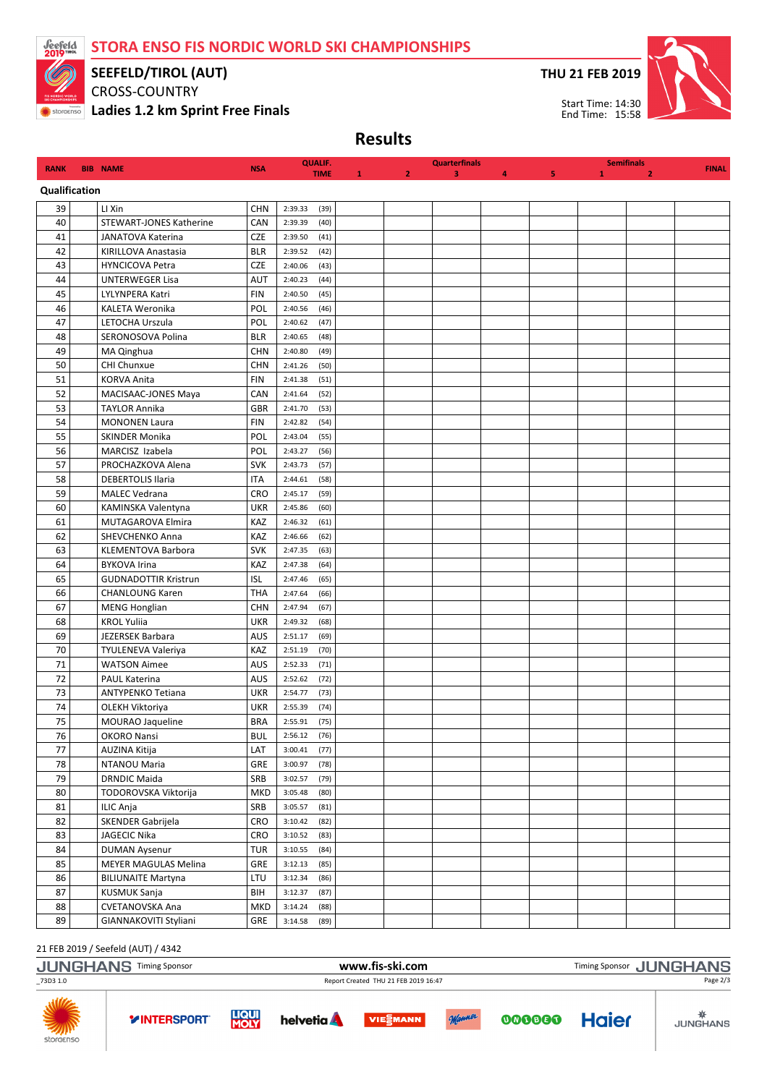STORA ENSO FIS NORDIC WORLD SKI CHAMPIONSHIPS



# SEEFELD/TIROL (AUT)

CROSS-COUNTRY **SA SOMETHISO Ladies 1.2 km Sprint Free Finals**  THU 21 FEB 2019



Results

| <b>RANK</b>   | <b>BIB NAME</b>                | <b>NSA</b>                  | <b>QUALIF.</b><br><b>TIME</b> | 1 | $\overline{2}$ | <b>Quarterfinals</b><br>3 | 4 | 5 | 1 | <b>Semifinals</b><br>$\overline{2}$ | <b>FINAL</b> |
|---------------|--------------------------------|-----------------------------|-------------------------------|---|----------------|---------------------------|---|---|---|-------------------------------------|--------------|
| Qualification |                                |                             |                               |   |                |                           |   |   |   |                                     |              |
| 39            | LI Xin                         | <b>CHN</b>                  | 2:39.33<br>(39)               |   |                |                           |   |   |   |                                     |              |
| 40            | <b>STEWART-JONES Katherine</b> | CAN                         | 2:39.39<br>(40)               |   |                |                           |   |   |   |                                     |              |
| 41            | JANATOVA Katerina              | <b>CZE</b>                  | 2:39.50<br>(41)               |   |                |                           |   |   |   |                                     |              |
| 42            | KIRILLOVA Anastasia            | <b>BLR</b>                  | 2:39.52<br>(42)               |   |                |                           |   |   |   |                                     |              |
| 43            | <b>HYNCICOVA Petra</b>         | <b>CZE</b>                  | 2:40.06<br>(43)               |   |                |                           |   |   |   |                                     |              |
| 44            | <b>UNTERWEGER Lisa</b>         | <b>AUT</b>                  | 2:40.23<br>(44)               |   |                |                           |   |   |   |                                     |              |
| 45            | LYLYNPERA Katri                | <b>FIN</b>                  | 2:40.50<br>(45)               |   |                |                           |   |   |   |                                     |              |
| 46            | KALETA Weronika                | POL                         | 2:40.56<br>(46)               |   |                |                           |   |   |   |                                     |              |
| 47            | LETOCHA Urszula                | POL                         | 2:40.62<br>(47)               |   |                |                           |   |   |   |                                     |              |
| 48            | SERONOSOVA Polina              | <b>BLR</b>                  | 2:40.65<br>(48)               |   |                |                           |   |   |   |                                     |              |
| 49            | MA Qinghua                     | <b>CHN</b>                  | 2:40.80<br>(49)               |   |                |                           |   |   |   |                                     |              |
| 50            | CHI Chunxue                    | <b>CHN</b>                  | 2:41.26<br>(50)               |   |                |                           |   |   |   |                                     |              |
| 51            | <b>KORVA Anita</b>             | <b>FIN</b>                  | 2:41.38<br>(51)               |   |                |                           |   |   |   |                                     |              |
| 52            | MACISAAC-JONES Maya            | CAN                         | 2:41.64<br>(52)               |   |                |                           |   |   |   |                                     |              |
| 53            | <b>TAYLOR Annika</b>           | <b>GBR</b>                  | 2:41.70<br>(53)               |   |                |                           |   |   |   |                                     |              |
| 54            | <b>MONONEN Laura</b>           | <b>FIN</b>                  | 2:42.82<br>(54)               |   |                |                           |   |   |   |                                     |              |
| 55            | SKINDER Monika                 | POL                         | (55)<br>2:43.04               |   |                |                           |   |   |   |                                     |              |
| 56            | MARCISZ Izabela                | POL                         | 2:43.27<br>(56)               |   |                |                           |   |   |   |                                     |              |
| 57            | PROCHAZKOVA Alena              | <b>SVK</b>                  | 2:43.73<br>(57)               |   |                |                           |   |   |   |                                     |              |
| 58            | <b>DEBERTOLIS Ilaria</b>       | <b>ITA</b>                  | 2:44.61<br>(58)               |   |                |                           |   |   |   |                                     |              |
| 59            | <b>MALEC Vedrana</b>           | <b>CRO</b>                  | 2:45.17<br>(59)               |   |                |                           |   |   |   |                                     |              |
| 60            | KAMINSKA Valentyna             | <b>UKR</b>                  | (60)<br>2:45.86               |   |                |                           |   |   |   |                                     |              |
| 61            | MUTAGAROVA Elmira              | KAZ                         | 2:46.32<br>(61)               |   |                |                           |   |   |   |                                     |              |
| 62            | SHEVCHENKO Anna                | KAZ                         | 2:46.66<br>(62)               |   |                |                           |   |   |   |                                     |              |
| 63            | <b>KLEMENTOVA Barbora</b>      | <b>SVK</b>                  | 2:47.35<br>(63)               |   |                |                           |   |   |   |                                     |              |
| 64            | <b>BYKOVA Irina</b>            | KAZ                         | 2:47.38<br>(64)               |   |                |                           |   |   |   |                                     |              |
| 65            | <b>GUDNADOTTIR Kristrun</b>    | <b>ISL</b>                  | 2:47.46<br>(65)               |   |                |                           |   |   |   |                                     |              |
| 66            | <b>CHANLOUNG Karen</b>         | <b>THA</b>                  | 2:47.64<br>(66)               |   |                |                           |   |   |   |                                     |              |
| 67            | <b>MENG Honglian</b>           | <b>CHN</b>                  | 2:47.94<br>(67)               |   |                |                           |   |   |   |                                     |              |
| 68            | <b>KROL Yuliia</b>             | <b>UKR</b>                  | 2:49.32<br>(68)               |   |                |                           |   |   |   |                                     |              |
| 69            | <b>JEZERSEK Barbara</b>        | <b>AUS</b>                  | 2:51.17<br>(69)               |   |                |                           |   |   |   |                                     |              |
| 70            | TYULENEVA Valeriya             | KAZ                         | 2:51.19<br>(70)               |   |                |                           |   |   |   |                                     |              |
| 71            | <b>WATSON Aimee</b>            | AUS                         | 2:52.33<br>(71)               |   |                |                           |   |   |   |                                     |              |
| 72            | PAUL Katerina                  | AUS                         | 2:52.62<br>(72)               |   |                |                           |   |   |   |                                     |              |
| 73            | <b>ANTYPENKO Tetiana</b>       | <b>UKR</b>                  | 2:54.77<br>(73)               |   |                |                           |   |   |   |                                     |              |
| 74            | OLEKH Viktoriya                | <b>UKR</b>                  | 2:55.39<br>(74)               |   |                |                           |   |   |   |                                     |              |
| 75            | MOURAO Jaqueline               | <b>BRA</b>                  | 2:55.91<br>(75)               |   |                |                           |   |   |   |                                     |              |
| ${\bf 76}$    | OKORO Nansi                    | $\ensuremath{\mathsf{BUL}}$ | 2:56.12<br>(76)               |   |                |                           |   |   |   |                                     |              |
| 77            | AUZINA Kitija                  | LAT                         | 3:00.41<br>(77)               |   |                |                           |   |   |   |                                     |              |
| 78            | NTANOU Maria                   | GRE                         | 3:00.97<br>(78)               |   |                |                           |   |   |   |                                     |              |
| 79            | <b>DRNDIC Maida</b>            | SRB                         | 3:02.57<br>(79)               |   |                |                           |   |   |   |                                     |              |
| 80            | TODOROVSKA Viktorija           | <b>MKD</b>                  | 3:05.48<br>(80)               |   |                |                           |   |   |   |                                     |              |
| 81            | ILIC Anja                      | SRB                         | 3:05.57<br>(81)               |   |                |                           |   |   |   |                                     |              |
| 82            | SKENDER Gabrijela              | CRO                         | 3:10.42<br>(82)               |   |                |                           |   |   |   |                                     |              |
| 83            | JAGECIC Nika                   | CRO                         | 3:10.52<br>(83)               |   |                |                           |   |   |   |                                     |              |
| 84            | <b>DUMAN Aysenur</b>           | <b>TUR</b>                  | 3:10.55<br>(84)               |   |                |                           |   |   |   |                                     |              |
| 85            | <b>MEYER MAGULAS Melina</b>    | GRE                         | (85)<br>3:12.13               |   |                |                           |   |   |   |                                     |              |
| 86            | <b>BILIUNAITE Martyna</b>      | LTU                         | 3:12.34<br>(86)               |   |                |                           |   |   |   |                                     |              |
| 87            | KUSMUK Sanja                   | BIH                         | (87)<br>3:12.37               |   |                |                           |   |   |   |                                     |              |
| 88            | CVETANOVSKA Ana                | MKD                         | 3:14.24<br>(88)               |   |                |                           |   |   |   |                                     |              |
| 89            | GIANNAKOVITI Styliani          | GRE                         | 3:14.58<br>(89)               |   |                |                           |   |   |   |                                     |              |

## 21 FEB 2019 / Seefeld (AUT) / 4342

1

| <b>JUNGHANS</b>  | <b>Timing Sponsor</b> |                      |                   | www.fis-ski.com                      |        |        | Timing Sponsor JUNGHANS |                 |
|------------------|-----------------------|----------------------|-------------------|--------------------------------------|--------|--------|-------------------------|-----------------|
| 73D3 1.0         |                       |                      |                   | Report Created THU 21 FEB 2019 16:47 |        |        | Page 2/3                |                 |
| ZAN<br>storaenso | <b>YINTERSPORT</b>    | <b>LIQUI</b><br>MOLY | helvetia <b>A</b> | <b>VIESMANN</b>                      | Manner | 000000 | <b>Haier</b>            | <b>JUNGHANS</b> |